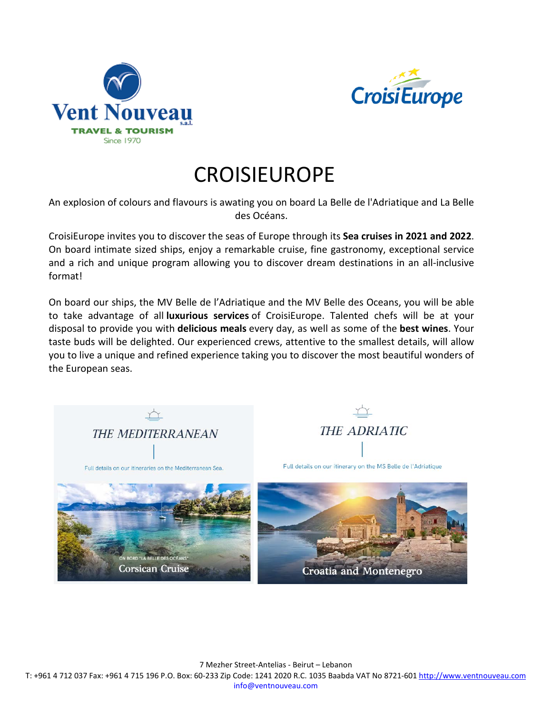



## **CROISIEUROPE**

An explosion of colours and flavours is awating you on board La Belle de l'Adriatique and La Belle des Océans.

CroisiEurope invites you to discover the seas of Europe through its **Sea cruises in 2021 and 2022**. On board intimate sized ships, enjoy a remarkable cruise, fine gastronomy, exceptional service and a rich and unique program allowing you to discover dream destinations in an all-inclusive format!

On board our ships, the MV Belle de l'Adriatique and the MV Belle des Oceans, you will be able to take advantage of all **luxurious services** of CroisiEurope. Talented chefs will be at your disposal to provide you with **delicious meals** every day, as well as some of the **best wines**. Your taste buds will be delighted. Our experienced crews, attentive to the smallest details, will allow you to live a unique and refined experience taking you to discover the most beautiful wonders of the European seas.